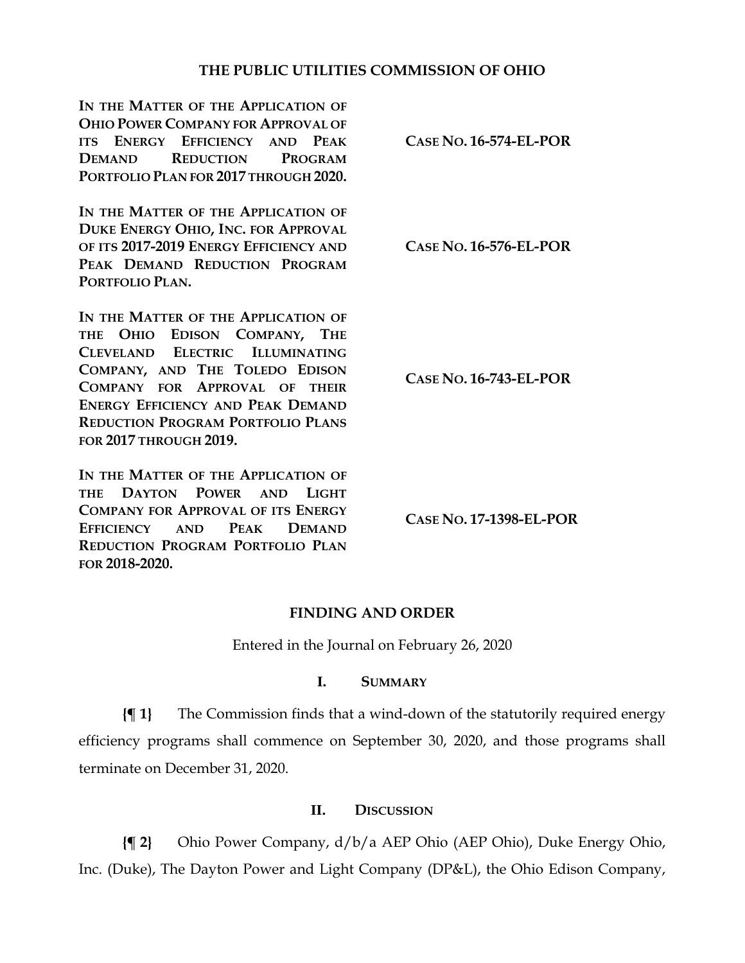## **THE PUBLIC UTILITIES COMMISSION OF OHIO**

**IN THE MATTER OF THE APPLICATION OF OHIO POWER COMPANY FOR APPROVAL OF ITS ENERGY EFFICIENCY AND PEAK DEMAND REDUCTION PROGRAM PORTFOLIO PLAN FOR 2017 THROUGH 2020. CASE NO. 16-574-EL-POR IN THE MATTER OF THE APPLICATION OF DUKE ENERGY OHIO, INC. FOR APPROVAL OF ITS 2017-2019 ENERGY EFFICIENCY AND PEAK DEMAND REDUCTION PROGRAM PORTFOLIO PLAN. CASE NO. 16-576-EL-POR** IN THE MATTER OF THE APPLICATION OF **THE OHIO EDISON COMPANY, THE CLEVELAND ELECTRIC ILLUMINATING COMPANY, AND THE TOLEDO EDISON COMPANY FOR APPROVAL OF THEIR ENERGY EFFICIENCY AND PEAK DEMAND REDUCTION PROGRAM PORTFOLIO PLANS FOR 2017 THROUGH 2019. CASE NO. 16-743-EL-POR** IN THE MATTER OF THE APPLICATION OF **THE DAYTON POWER AND LIGHT** 

**COMPANY FOR APPROVAL OF ITS ENERGY EFFICIENCY AND PEAK DEMAND REDUCTION PROGRAM PORTFOLIO PLAN FOR 2018-2020.**

**CASE NO. 17-1398-EL-POR**

## **FINDING AND ORDER**

Entered in the Journal on February 26, 2020

## **I. SUMMARY**

**{¶ 1}** The Commission finds that a wind-down of the statutorily required energy efficiency programs shall commence on September 30, 2020, and those programs shall terminate on December 31, 2020.

## **II. DISCUSSION**

**{¶ 2}** Ohio Power Company, d/b/a AEP Ohio (AEP Ohio), Duke Energy Ohio, Inc. (Duke), The Dayton Power and Light Company (DP&L), the Ohio Edison Company,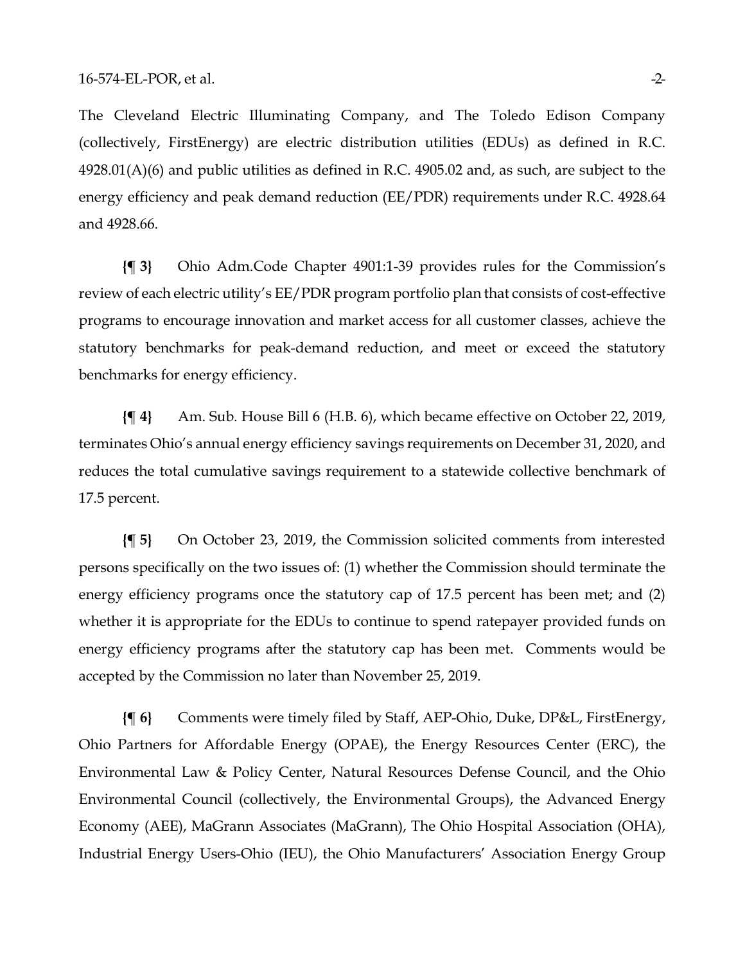The Cleveland Electric Illuminating Company, and The Toledo Edison Company (collectively, FirstEnergy) are electric distribution utilities (EDUs) as defined in R.C.  $4928.01(A)(6)$  and public utilities as defined in R.C.  $4905.02$  and, as such, are subject to the energy efficiency and peak demand reduction (EE/PDR) requirements under R.C. [4928.64](http://codes.ohio.gov/orc/4928.64) and [4928.66.](http://codes.ohio.gov/orc/4928.66)

**{¶ 3}** Ohio Adm.Code Chapter [4901:1-39](http://codes.ohio.gov/oac/4901%3A1-39) provides rules for the Commission's review of each electric utility's EE/PDR program portfolio plan that consists of cost-effective programs to encourage innovation and market access for all customer classes, achieve the statutory benchmarks for peak-demand reduction, and meet or exceed the statutory benchmarks for energy efficiency.

**{¶ 4}** Am. Sub. House Bill 6 (H.B. 6), which became effective on October 22, 2019, terminates Ohio's annual energy efficiency savings requirements on December 31, 2020, and reduces the total cumulative savings requirement to a statewide collective benchmark of 17.5 percent.

**{¶ 5}** On October 23, 2019, the Commission solicited comments from interested persons specifically on the two issues of: (1) whether the Commission should terminate the energy efficiency programs once the statutory cap of 17.5 percent has been met; and (2) whether it is appropriate for the EDUs to continue to spend ratepayer provided funds on energy efficiency programs after the statutory cap has been met. Comments would be accepted by the Commission no later than November 25, 2019.

**{¶ 6}** Comments were timely filed by Staff, AEP-Ohio, Duke, DP&L, FirstEnergy, Ohio Partners for Affordable Energy (OPAE), the Energy Resources Center (ERC), the Environmental Law & Policy Center, Natural Resources Defense Council, and the Ohio Environmental Council (collectively, the Environmental Groups), the Advanced Energy Economy (AEE), MaGrann Associates (MaGrann), The Ohio Hospital Association (OHA), Industrial Energy Users-Ohio (IEU), the Ohio Manufacturers' Association Energy Group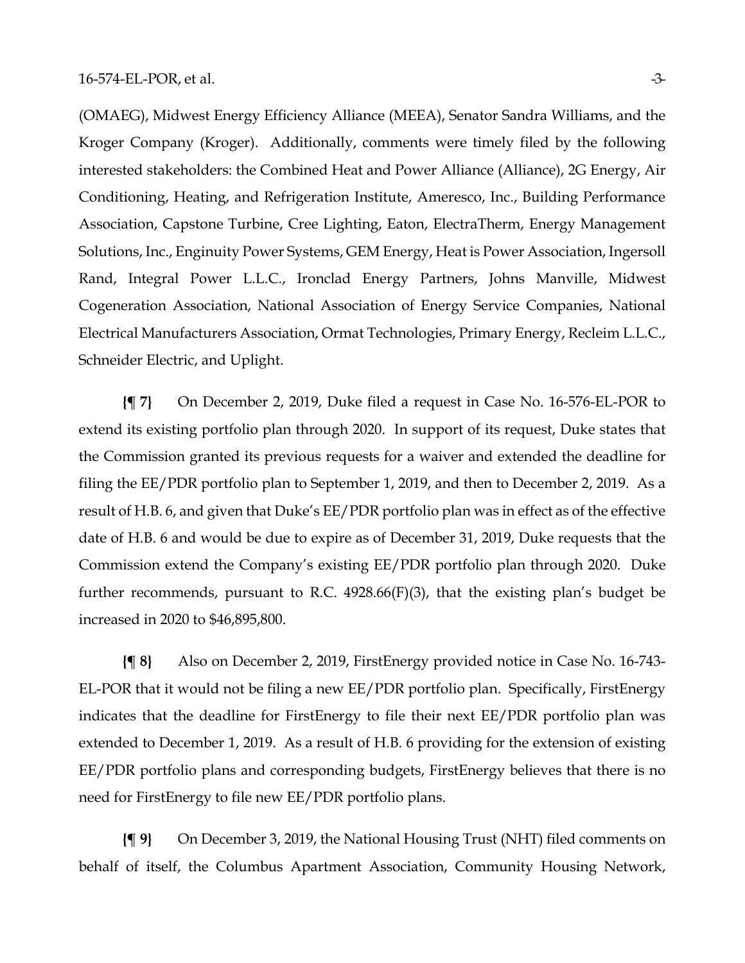(OMAEG), Midwest Energy Efficiency Alliance (MEEA), Senator Sandra Williams, and the Kroger Company (Kroger). Additionally, comments were timely filed by the following interested stakeholders: the Combined Heat and Power Alliance (Alliance), 2G Energy, Air Conditioning, Heating, and Refrigeration Institute, Ameresco, Inc., Building Performance Association, Capstone Turbine, Cree Lighting, Eaton, ElectraTherm, Energy Management Solutions, Inc., Enginuity Power Systems, GEM Energy, Heat is Power Association, Ingersoll Rand, Integral Power L.L.C., Ironclad Energy Partners, Johns Manville, Midwest Cogeneration Association, National Association of Energy Service Companies, National Electrical Manufacturers Association, Ormat Technologies, Primary Energy, Recleim L.L.C., Schneider Electric, and Uplight.

**{¶ 7}** On December 2, 2019, Duke filed a request in Case No. 16-576-EL-POR to extend its existing portfolio plan through 2020. In support of its request, Duke states that the Commission granted its previous requests for a waiver and extended the deadline for filing the EE/PDR portfolio plan to September 1, 2019, and then to December 2, 2019. As a result of H.B. 6, and given that Duke's EE/PDR portfolio plan was in effect as of the effective date of H.B. 6 and would be due to expire as of December 31, 2019, Duke requests that the Commission extend the Company's existing EE/PDR portfolio plan through 2020. Duke further recommends, pursuant to R.C. 4928.66(F)(3), that the existing plan's budget be increased in 2020 to \$46,895,800.

**{¶ 8}** Also on December 2, 2019, FirstEnergy provided notice in Case No. 16-743- EL-POR that it would not be filing a new EE/PDR portfolio plan. Specifically, FirstEnergy indicates that the deadline for FirstEnergy to file their next EE/PDR portfolio plan was extended to December 1, 2019. As a result of H.B. 6 providing for the extension of existing EE/PDR portfolio plans and corresponding budgets, FirstEnergy believes that there is no need for FirstEnergy to file new EE/PDR portfolio plans.

**{¶ 9}** On December 3, 2019, the National Housing Trust (NHT) filed comments on behalf of itself, the Columbus Apartment Association, Community Housing Network,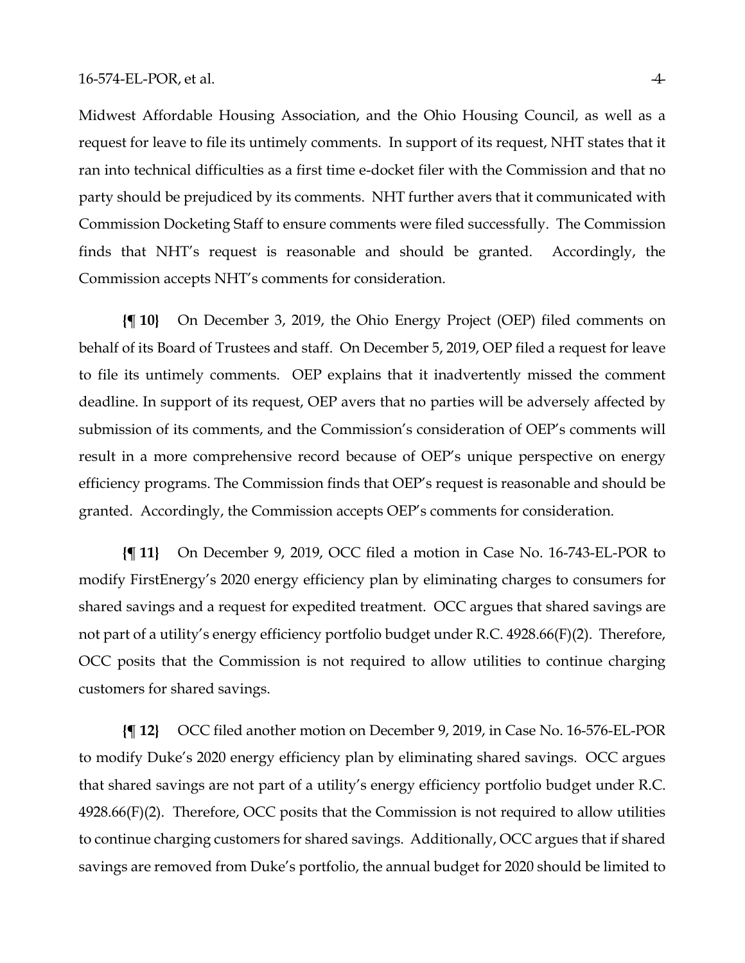Midwest Affordable Housing Association, and the Ohio Housing Council, as well as a request for leave to file its untimely comments. In support of its request, NHT states that it ran into technical difficulties as a first time e-docket filer with the Commission and that no party should be prejudiced by its comments. NHT further avers that it communicated with Commission Docketing Staff to ensure comments were filed successfully. The Commission finds that NHT's request is reasonable and should be granted. Accordingly, the Commission accepts NHT's comments for consideration.

**{¶ 10}** On December 3, 2019, the Ohio Energy Project (OEP) filed comments on behalf of its Board of Trustees and staff. On December 5, 2019, OEP filed a request for leave to file its untimely comments. OEP explains that it inadvertently missed the comment deadline. In support of its request, OEP avers that no parties will be adversely affected by submission of its comments, and the Commission's consideration of OEP's comments will result in a more comprehensive record because of OEP's unique perspective on energy efficiency programs. The Commission finds that OEP's request is reasonable and should be granted. Accordingly, the Commission accepts OEP's comments for consideration.

**{¶ 11}** On December 9, 2019, OCC filed a motion in Case No. 16-743-EL-POR to modify FirstEnergy's 2020 energy efficiency plan by eliminating charges to consumers for shared savings and a request for expedited treatment. OCC argues that shared savings are not part of a utility's energy efficiency portfolio budget under R.C. 4928.66(F)(2). Therefore, OCC posits that the Commission is not required to allow utilities to continue charging customers for shared savings.

**{¶ 12}** OCC filed another motion on December 9, 2019, in Case No. 16-576-EL-POR to modify Duke's 2020 energy efficiency plan by eliminating shared savings. OCC argues that shared savings are not part of a utility's energy efficiency portfolio budget under R.C. 4928.66(F)(2). Therefore, OCC posits that the Commission is not required to allow utilities to continue charging customers for shared savings. Additionally, OCC argues that if shared savings are removed from Duke's portfolio, the annual budget for 2020 should be limited to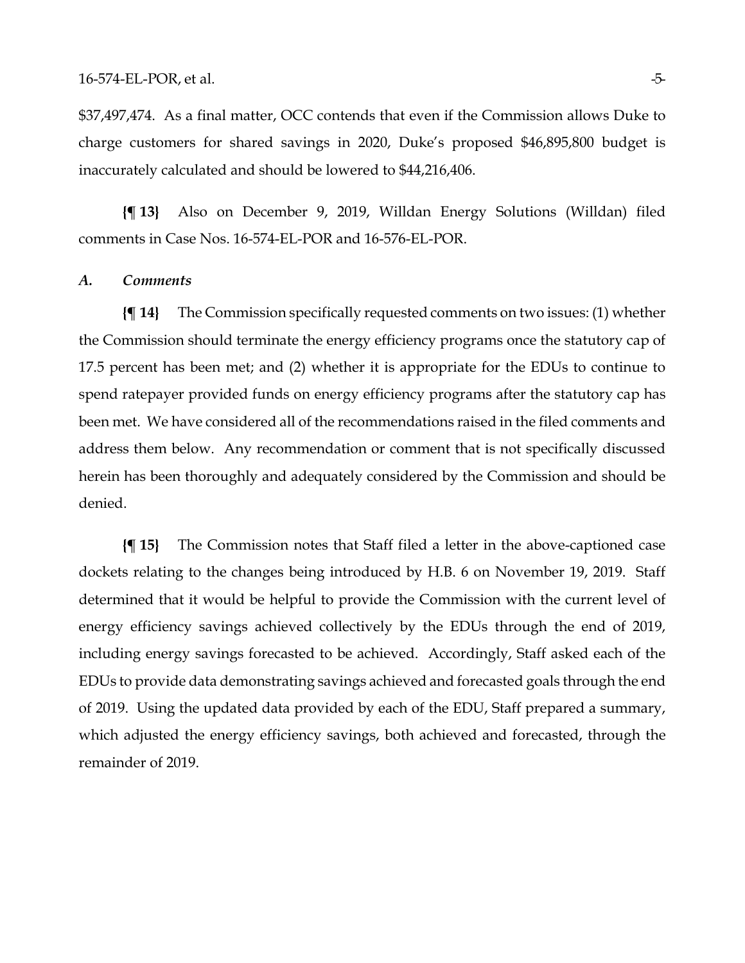\$37,497,474. As a final matter, OCC contends that even if the Commission allows Duke to charge customers for shared savings in 2020, Duke's proposed \$46,895,800 budget is inaccurately calculated and should be lowered to \$44,216,406.

**{¶ 13}** Also on December 9, 2019, Willdan Energy Solutions (Willdan) filed comments in Case Nos. 16-574-EL-POR and 16-576-EL-POR.

#### *A. Comments*

**{¶ 14}** The Commission specifically requested comments on two issues: (1) whether the Commission should terminate the energy efficiency programs once the statutory cap of 17.5 percent has been met; and (2) whether it is appropriate for the EDUs to continue to spend ratepayer provided funds on energy efficiency programs after the statutory cap has been met. We have considered all of the recommendations raised in the filed comments and address them below. Any recommendation or comment that is not specifically discussed herein has been thoroughly and adequately considered by the Commission and should be denied.

**{¶ 15}** The Commission notes that Staff filed a letter in the above-captioned case dockets relating to the changes being introduced by H.B. 6 on November 19, 2019. Staff determined that it would be helpful to provide the Commission with the current level of energy efficiency savings achieved collectively by the EDUs through the end of 2019, including energy savings forecasted to be achieved. Accordingly, Staff asked each of the EDUs to provide data demonstrating savings achieved and forecasted goals through the end of 2019. Using the updated data provided by each of the EDU, Staff prepared a summary, which adjusted the energy efficiency savings, both achieved and forecasted, through the remainder of 2019.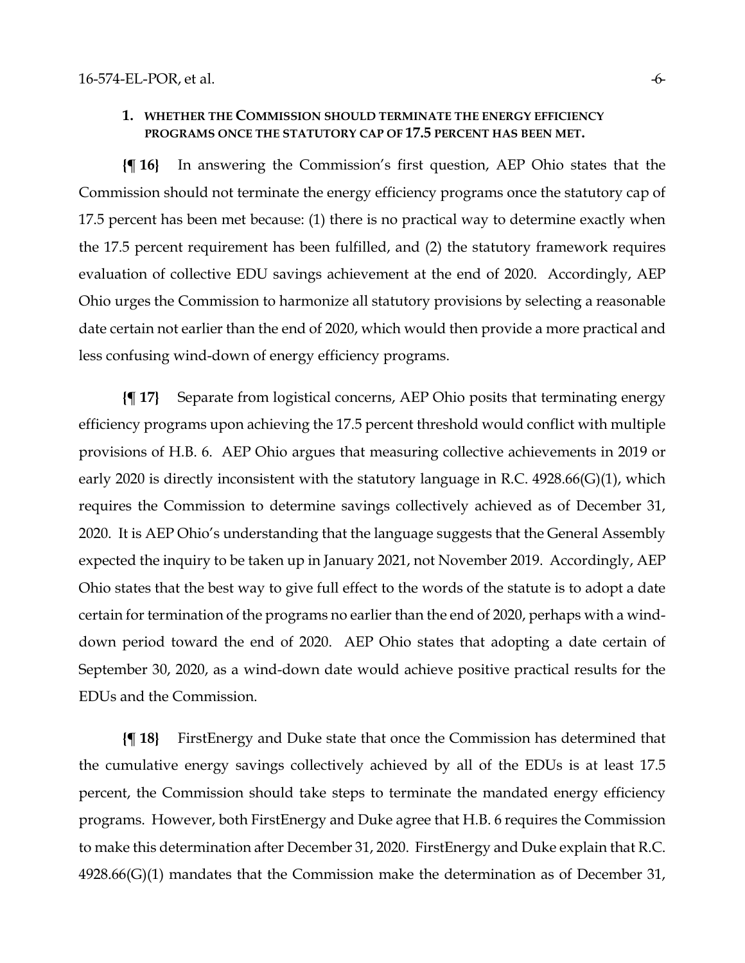#### **1. WHETHER THE COMMISSION SHOULD TERMINATE THE ENERGY EFFICIENCY PROGRAMS ONCE THE STATUTORY CAP OF 17.5 PERCENT HAS BEEN MET.**

**{¶ 16}** In answering the Commission's first question, AEP Ohio states that the Commission should not terminate the energy efficiency programs once the statutory cap of 17.5 percent has been met because: (1) there is no practical way to determine exactly when the 17.5 percent requirement has been fulfilled, and (2) the statutory framework requires evaluation of collective EDU savings achievement at the end of 2020. Accordingly, AEP Ohio urges the Commission to harmonize all statutory provisions by selecting a reasonable date certain not earlier than the end of 2020, which would then provide a more practical and less confusing wind-down of energy efficiency programs.

**{¶ 17}** Separate from logistical concerns, AEP Ohio posits that terminating energy efficiency programs upon achieving the 17.5 percent threshold would conflict with multiple provisions of H.B. 6. AEP Ohio argues that measuring collective achievements in 2019 or early 2020 is directly inconsistent with the statutory language in R.C. 4928.66(G)(1), which requires the Commission to determine savings collectively achieved as of December 31, 2020. It is AEP Ohio's understanding that the language suggests that the General Assembly expected the inquiry to be taken up in January 2021, not November 2019. Accordingly, AEP Ohio states that the best way to give full effect to the words of the statute is to adopt a date certain for termination of the programs no earlier than the end of 2020, perhaps with a winddown period toward the end of 2020. AEP Ohio states that adopting a date certain of September 30, 2020, as a wind-down date would achieve positive practical results for the EDUs and the Commission.

**{¶ 18}** FirstEnergy and Duke state that once the Commission has determined that the cumulative energy savings collectively achieved by all of the EDUs is at least 17.5 percent, the Commission should take steps to terminate the mandated energy efficiency programs. However, both FirstEnergy and Duke agree that H.B. 6 requires the Commission to make this determination after December 31, 2020. FirstEnergy and Duke explain that R.C. 4928.66(G)(1) mandates that the Commission make the determination as of December 31,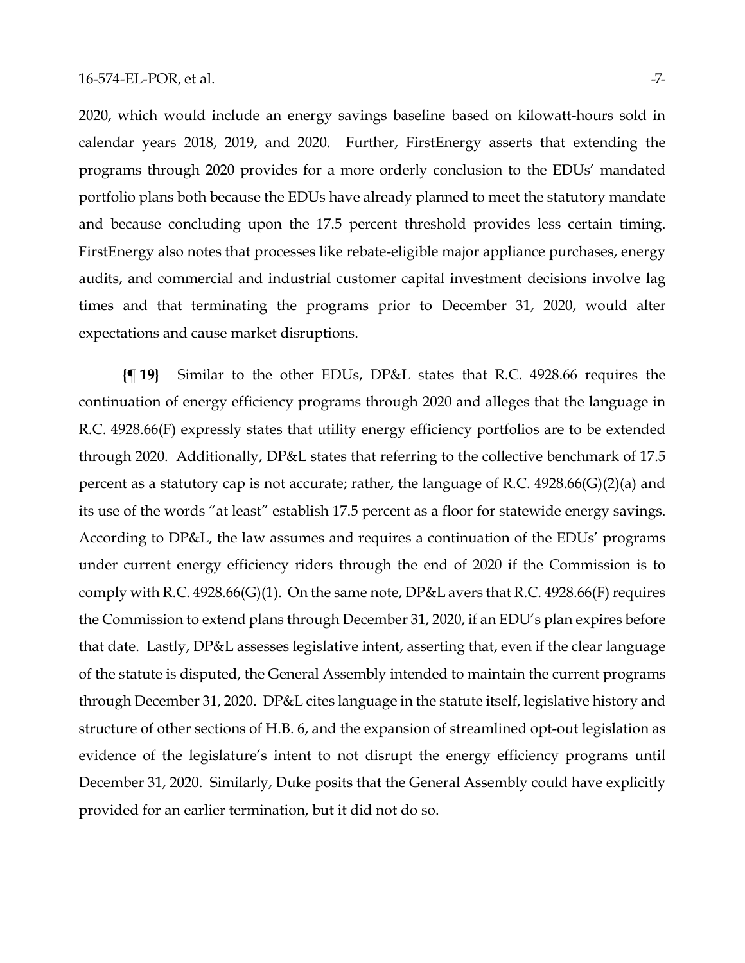2020, which would include an energy savings baseline based on kilowatt-hours sold in calendar years 2018, 2019, and 2020. Further, FirstEnergy asserts that extending the programs through 2020 provides for a more orderly conclusion to the EDUs' mandated portfolio plans both because the EDUs have already planned to meet the statutory mandate and because concluding upon the 17.5 percent threshold provides less certain timing. FirstEnergy also notes that processes like rebate-eligible major appliance purchases, energy audits, and commercial and industrial customer capital investment decisions involve lag times and that terminating the programs prior to December 31, 2020, would alter expectations and cause market disruptions.

**{¶ 19}** Similar to the other EDUs, DP&L states that R.C. 4928.66 requires the continuation of energy efficiency programs through 2020 and alleges that the language in R.C. 4928.66(F) expressly states that utility energy efficiency portfolios are to be extended through 2020. Additionally, DP&L states that referring to the collective benchmark of 17.5 percent as a statutory cap is not accurate; rather, the language of R.C. 4928.66(G)(2)(a) and its use of the words "at least" establish 17.5 percent as a floor for statewide energy savings. According to DP&L, the law assumes and requires a continuation of the EDUs' programs under current energy efficiency riders through the end of 2020 if the Commission is to comply with R.C. 4928.66(G)(1). On the same note,  $DP&L$  avers that R.C. 4928.66(F) requires the Commission to extend plans through December 31, 2020, if an EDU's plan expires before that date. Lastly, DP&L assesses legislative intent, asserting that, even if the clear language of the statute is disputed, the General Assembly intended to maintain the current programs through December 31, 2020. DP&L cites language in the statute itself, legislative history and structure of other sections of H.B. 6, and the expansion of streamlined opt-out legislation as evidence of the legislature's intent to not disrupt the energy efficiency programs until December 31, 2020. Similarly, Duke posits that the General Assembly could have explicitly provided for an earlier termination, but it did not do so.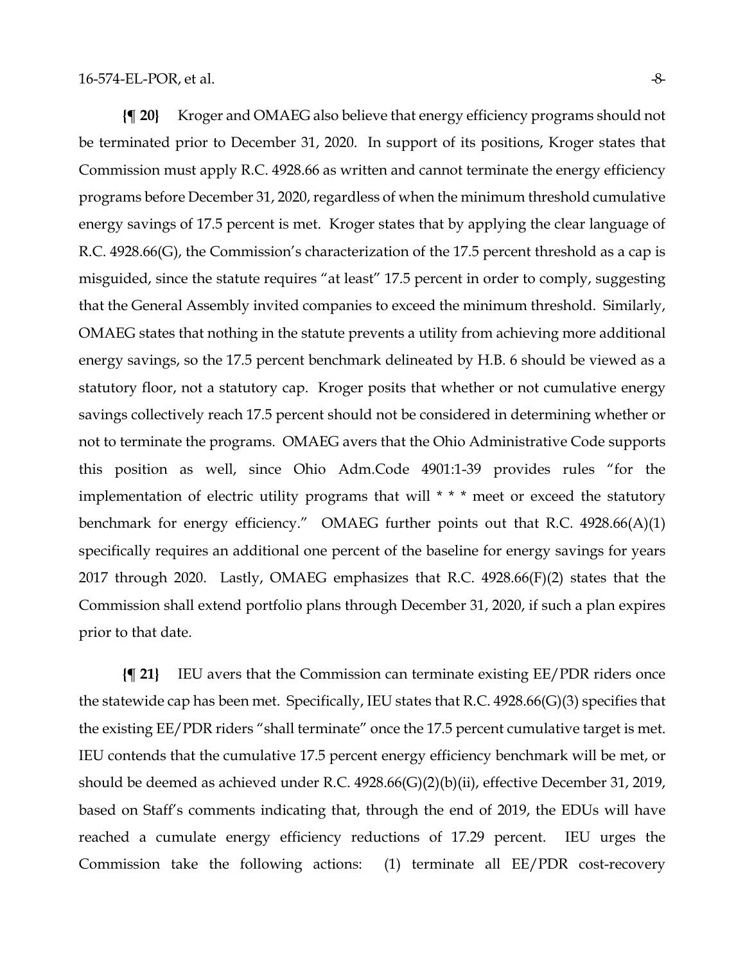**{¶ 20}** Kroger and OMAEG also believe that energy efficiency programs should not be terminated prior to December 31, 2020. In support of its positions, Kroger states that Commission must apply R.C. 4928.66 as written and cannot terminate the energy efficiency programs before December 31, 2020, regardless of when the minimum threshold cumulative energy savings of 17.5 percent is met. Kroger states that by applying the clear language of R.C. 4928.66(G), the Commission's characterization of the 17.5 percent threshold as a cap is misguided, since the statute requires "at least" 17.5 percent in order to comply, suggesting that the General Assembly invited companies to exceed the minimum threshold. Similarly, OMAEG states that nothing in the statute prevents a utility from achieving more additional energy savings, so the 17.5 percent benchmark delineated by H.B. 6 should be viewed as a statutory floor, not a statutory cap. Kroger posits that whether or not cumulative energy savings collectively reach 17.5 percent should not be considered in determining whether or not to terminate the programs. OMAEG avers that the Ohio Administrative Code supports this position as well, since Ohio Adm.Code 4901:1-39 provides rules "for the implementation of electric utility programs that will \* \* \* meet or exceed the statutory benchmark for energy efficiency." OMAEG further points out that R.C. 4928.66(A)(1) specifically requires an additional one percent of the baseline for energy savings for years 2017 through 2020. Lastly, OMAEG emphasizes that R.C. 4928.66(F)(2) states that the Commission shall extend portfolio plans through December 31, 2020, if such a plan expires prior to that date.

**{¶ 21}** IEU avers that the Commission can terminate existing EE/PDR riders once the statewide cap has been met. Specifically, IEU states that R.C. 4928.66(G)(3) specifies that the existing EE/PDR riders "shall terminate" once the 17.5 percent cumulative target is met. IEU contends that the cumulative 17.5 percent energy efficiency benchmark will be met, or should be deemed as achieved under R.C. 4928.66(G)(2)(b)(ii), effective December 31, 2019, based on Staff's comments indicating that, through the end of 2019, the EDUs will have reached a cumulate energy efficiency reductions of 17.29 percent. IEU urges the Commission take the following actions: (1) terminate all EE/PDR cost-recovery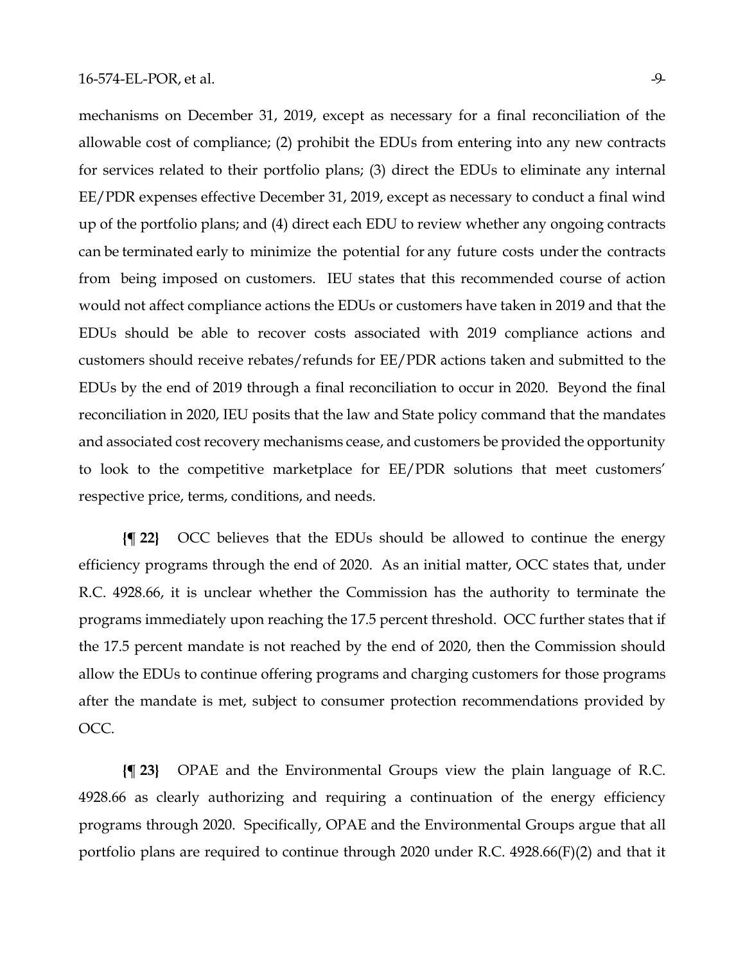mechanisms on December 31, 2019, except as necessary for a final reconciliation of the allowable cost of compliance; (2) prohibit the EDUs from entering into any new contracts for services related to their portfolio plans; (3) direct the EDUs to eliminate any internal EE/PDR expenses effective December 31, 2019, except as necessary to conduct a final wind up of the portfolio plans; and (4) direct each EDU to review whether any ongoing contracts can be terminated early to minimize the potential for any future costs under the contracts from being imposed on customers. IEU states that this recommended course of action would not affect compliance actions the EDUs or customers have taken in 2019 and that the EDUs should be able to recover costs associated with 2019 compliance actions and customers should receive rebates/refunds for EE/PDR actions taken and submitted to the EDUs by the end of 2019 through a final reconciliation to occur in 2020. Beyond the final reconciliation in 2020, IEU posits that the law and State policy command that the mandates and associated cost recovery mechanisms cease, and customers be provided the opportunity to look to the competitive marketplace for EE/PDR solutions that meet customers' respective price, terms, conditions, and needs.

**{¶ 22}** OCC believes that the EDUs should be allowed to continue the energy efficiency programs through the end of 2020. As an initial matter, OCC states that, under R.C. 4928.66, it is unclear whether the Commission has the authority to terminate the programs immediately upon reaching the 17.5 percent threshold. OCC further states that if the 17.5 percent mandate is not reached by the end of 2020, then the Commission should allow the EDUs to continue offering programs and charging customers for those programs after the mandate is met, subject to consumer protection recommendations provided by OCC.

**{¶ 23}** OPAE and the Environmental Groups view the plain language of R.C. 4928.66 as clearly authorizing and requiring a continuation of the energy efficiency programs through 2020. Specifically, OPAE and the Environmental Groups argue that all portfolio plans are required to continue through 2020 under R.C. 4928.66(F)(2) and that it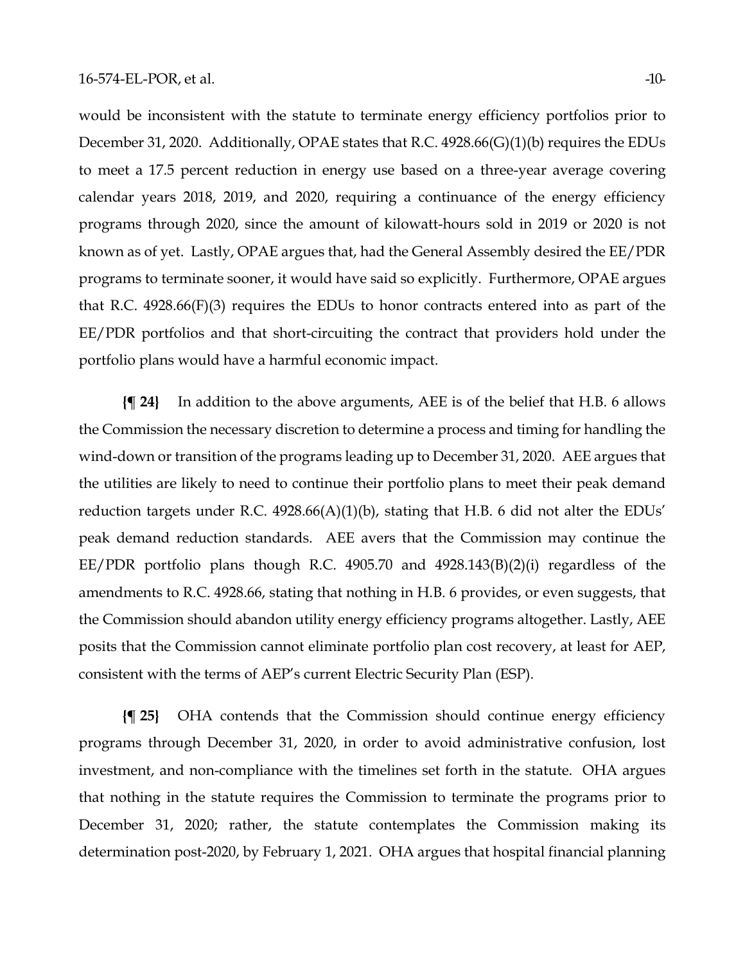would be inconsistent with the statute to terminate energy efficiency portfolios prior to December 31, 2020. Additionally, OPAE states that R.C. 4928.66(G)(1)(b) requires the EDUs to meet a 17.5 percent reduction in energy use based on a three-year average covering calendar years 2018, 2019, and 2020, requiring a continuance of the energy efficiency programs through 2020, since the amount of kilowatt-hours sold in 2019 or 2020 is not known as of yet. Lastly, OPAE argues that, had the General Assembly desired the EE/PDR programs to terminate sooner, it would have said so explicitly. Furthermore, OPAE argues that R.C. 4928.66(F)(3) requires the EDUs to honor contracts entered into as part of the EE/PDR portfolios and that short-circuiting the contract that providers hold under the portfolio plans would have a harmful economic impact.

**{¶ 24}** In addition to the above arguments, AEE is of the belief that H.B. 6 allows the Commission the necessary discretion to determine a process and timing for handling the wind-down or transition of the programs leading up to December 31, 2020. AEE argues that the utilities are likely to need to continue their portfolio plans to meet their peak demand reduction targets under R.C. 4928.66(A)(1)(b), stating that H.B. 6 did not alter the EDUs' peak demand reduction standards. AEE avers that the Commission may continue the EE/PDR portfolio plans though R.C. 4905.70 and 4928.143(B)(2)(i) regardless of the amendments to R.C. 4928.66, stating that nothing in H.B. 6 provides, or even suggests, that the Commission should abandon utility energy efficiency programs altogether. Lastly, AEE posits that the Commission cannot eliminate portfolio plan cost recovery, at least for AEP, consistent with the terms of AEP's current Electric Security Plan (ESP).

**{¶ 25}** OHA contends that the Commission should continue energy efficiency programs through December 31, 2020, in order to avoid administrative confusion, lost investment, and non-compliance with the timelines set forth in the statute. OHA argues that nothing in the statute requires the Commission to terminate the programs prior to December 31, 2020; rather, the statute contemplates the Commission making its determination post-2020, by February 1, 2021. OHA argues that hospital financial planning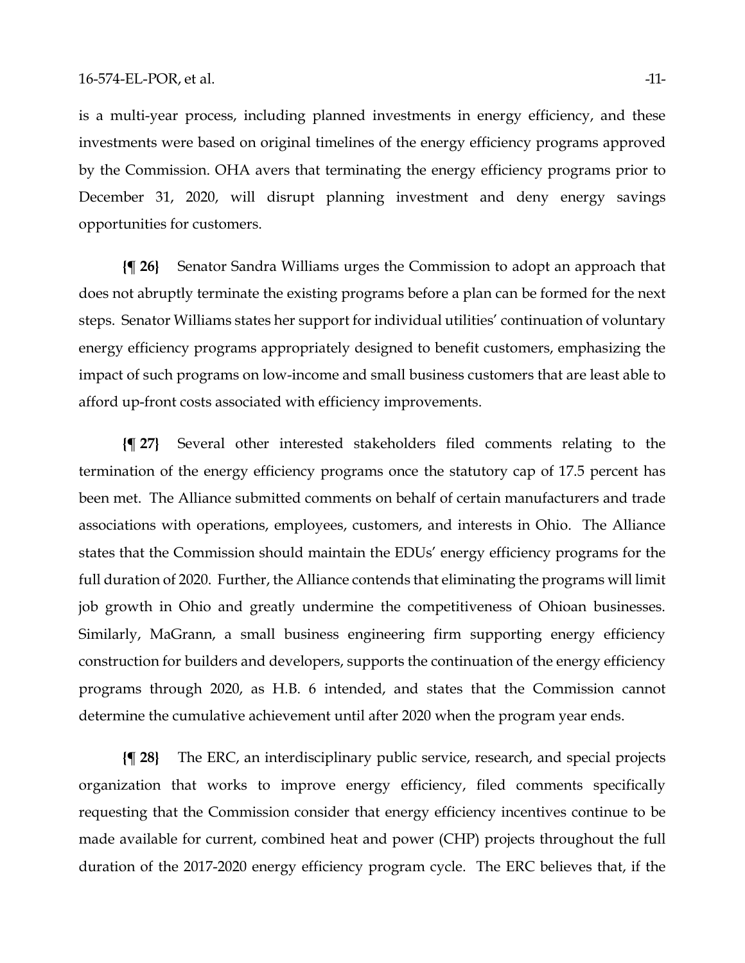is a multi-year process, including planned investments in energy efficiency, and these investments were based on original timelines of the energy efficiency programs approved by the Commission. OHA avers that terminating the energy efficiency programs prior to December 31, 2020, will disrupt planning investment and deny energy savings opportunities for customers.

**{¶ 26}** Senator Sandra Williams urges the Commission to adopt an approach that does not abruptly terminate the existing programs before a plan can be formed for the next steps. Senator Williams states her support for individual utilities' continuation of voluntary energy efficiency programs appropriately designed to benefit customers, emphasizing the impact of such programs on low-income and small business customers that are least able to afford up-front costs associated with efficiency improvements.

**{¶ 27}** Several other interested stakeholders filed comments relating to the termination of the energy efficiency programs once the statutory cap of 17.5 percent has been met. The Alliance submitted comments on behalf of certain manufacturers and trade associations with operations, employees, customers, and interests in Ohio. The Alliance states that the Commission should maintain the EDUs' energy efficiency programs for the full duration of 2020. Further, the Alliance contends that eliminating the programs will limit job growth in Ohio and greatly undermine the competitiveness of Ohioan businesses. Similarly, MaGrann, a small business engineering firm supporting energy efficiency construction for builders and developers, supports the continuation of the energy efficiency programs through 2020, as H.B. 6 intended, and states that the Commission cannot determine the cumulative achievement until after 2020 when the program year ends.

**{¶ 28}** The ERC, an interdisciplinary public service, research, and special projects organization that works to improve energy efficiency, filed comments specifically requesting that the Commission consider that energy efficiency incentives continue to be made available for current, combined heat and power (CHP) projects throughout the full duration of the 2017-2020 energy efficiency program cycle. The ERC believes that, if the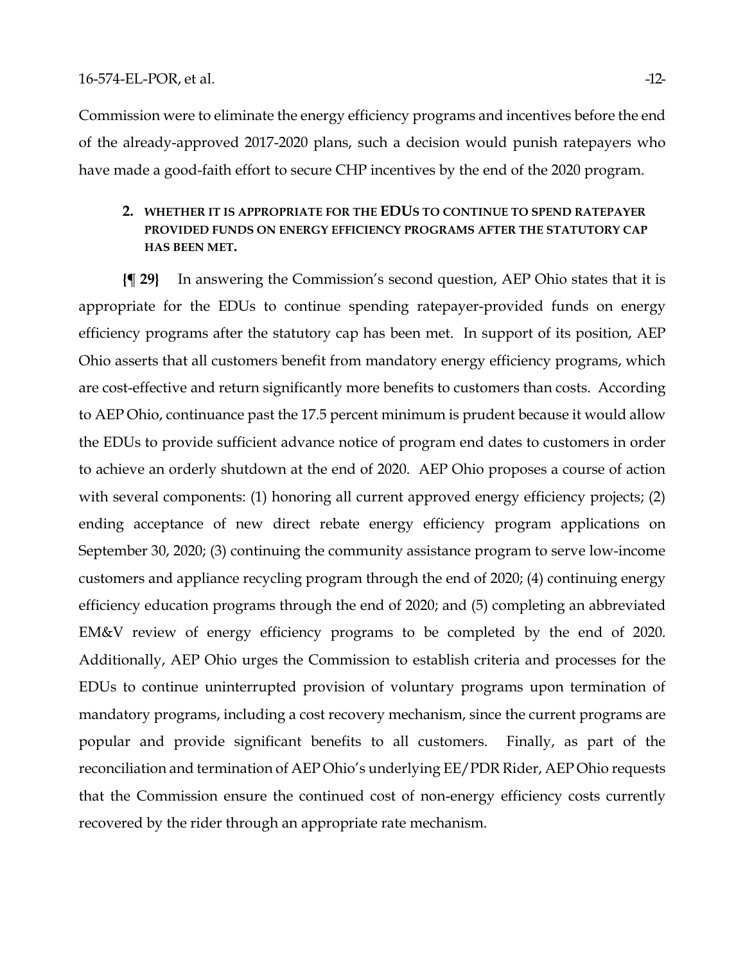Commission were to eliminate the energy efficiency programs and incentives before the end of the already-approved 2017-2020 plans, such a decision would punish ratepayers who have made a good-faith effort to secure CHP incentives by the end of the 2020 program.

#### **2. WHETHER IT IS APPROPRIATE FOR THE EDUS TO CONTINUE TO SPEND RATEPAYER PROVIDED FUNDS ON ENERGY EFFICIENCY PROGRAMS AFTER THE STATUTORY CAP HAS BEEN MET.**

**{¶ 29}** In answering the Commission's second question, AEP Ohio states that it is appropriate for the EDUs to continue spending ratepayer-provided funds on energy efficiency programs after the statutory cap has been met. In support of its position, AEP Ohio asserts that all customers benefit from mandatory energy efficiency programs, which are cost-effective and return significantly more benefits to customers than costs. According to AEP Ohio, continuance past the 17.5 percent minimum is prudent because it would allow the EDUs to provide sufficient advance notice of program end dates to customers in order to achieve an orderly shutdown at the end of 2020. AEP Ohio proposes a course of action with several components: (1) honoring all current approved energy efficiency projects; (2) ending acceptance of new direct rebate energy efficiency program applications on September 30, 2020; (3) continuing the community assistance program to serve low-income customers and appliance recycling program through the end of 2020; (4) continuing energy efficiency education programs through the end of 2020; and (5) completing an abbreviated EM&V review of energy efficiency programs to be completed by the end of 2020. Additionally, AEP Ohio urges the Commission to establish criteria and processes for the EDUs to continue uninterrupted provision of voluntary programs upon termination of mandatory programs, including a cost recovery mechanism, since the current programs are popular and provide significant benefits to all customers. Finally, as part of the reconciliation and termination of AEP Ohio's underlying EE/PDR Rider, AEP Ohio requests that the Commission ensure the continued cost of non-energy efficiency costs currently recovered by the rider through an appropriate rate mechanism.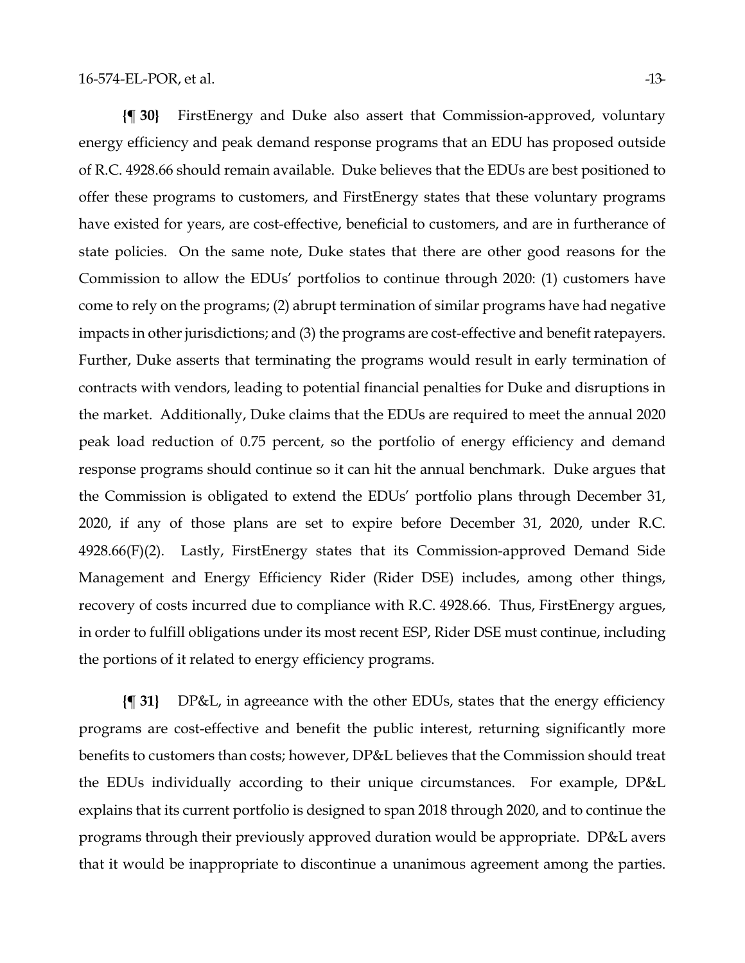**{¶ 30}** FirstEnergy and Duke also assert that Commission-approved, voluntary energy efficiency and peak demand response programs that an EDU has proposed outside of R.C. 4928.66 should remain available. Duke believes that the EDUs are best positioned to offer these programs to customers, and FirstEnergy states that these voluntary programs have existed for years, are cost-effective, beneficial to customers, and are in furtherance of state policies. On the same note, Duke states that there are other good reasons for the Commission to allow the EDUs' portfolios to continue through 2020: (1) customers have come to rely on the programs; (2) abrupt termination of similar programs have had negative impacts in other jurisdictions; and (3) the programs are cost-effective and benefit ratepayers. Further, Duke asserts that terminating the programs would result in early termination of contracts with vendors, leading to potential financial penalties for Duke and disruptions in the market. Additionally, Duke claims that the EDUs are required to meet the annual 2020 peak load reduction of 0.75 percent, so the portfolio of energy efficiency and demand response programs should continue so it can hit the annual benchmark. Duke argues that the Commission is obligated to extend the EDUs' portfolio plans through December 31, 2020, if any of those plans are set to expire before December 31, 2020, under R.C. 4928.66(F)(2). Lastly, FirstEnergy states that its Commission-approved Demand Side Management and Energy Efficiency Rider (Rider DSE) includes, among other things, recovery of costs incurred due to compliance with R.C. 4928.66. Thus, FirstEnergy argues, in order to fulfill obligations under its most recent ESP, Rider DSE must continue, including the portions of it related to energy efficiency programs.

**{¶ 31}** DP&L, in agreeance with the other EDUs, states that the energy efficiency programs are cost-effective and benefit the public interest, returning significantly more benefits to customers than costs; however, DP&L believes that the Commission should treat the EDUs individually according to their unique circumstances. For example, DP&L explains that its current portfolio is designed to span 2018 through 2020, and to continue the programs through their previously approved duration would be appropriate. DP&L avers that it would be inappropriate to discontinue a unanimous agreement among the parties.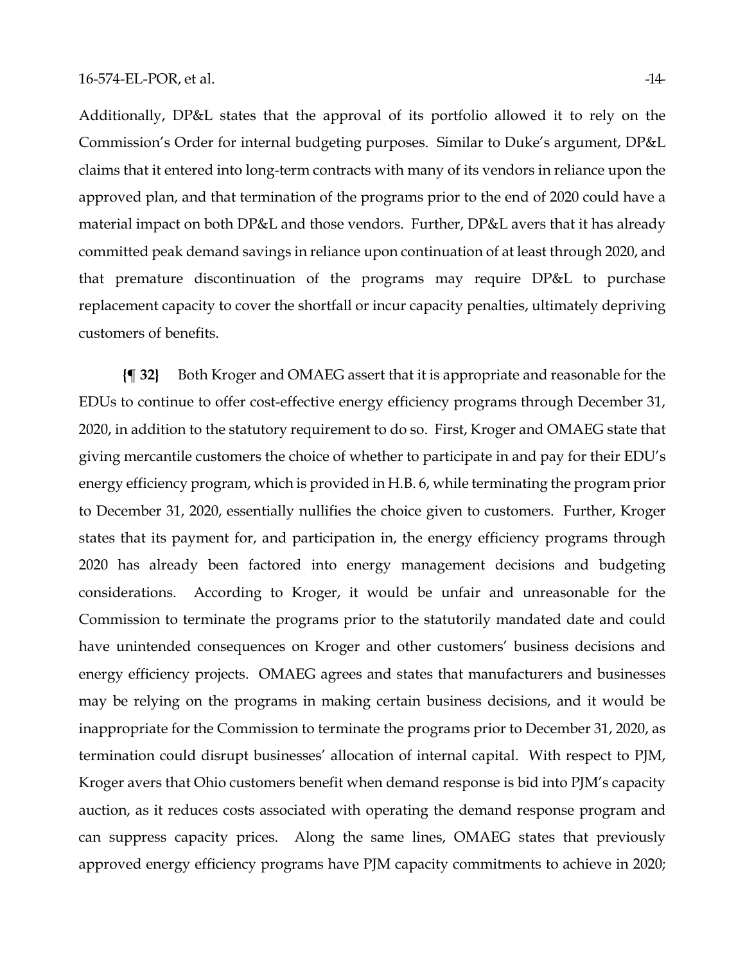Additionally, DP&L states that the approval of its portfolio allowed it to rely on the Commission's Order for internal budgeting purposes. Similar to Duke's argument, DP&L claims that it entered into long-term contracts with many of its vendors in reliance upon the approved plan, and that termination of the programs prior to the end of 2020 could have a material impact on both DP&L and those vendors. Further, DP&L avers that it has already committed peak demand savings in reliance upon continuation of at least through 2020, and that premature discontinuation of the programs may require DP&L to purchase replacement capacity to cover the shortfall or incur capacity penalties, ultimately depriving customers of benefits.

**{¶ 32}** Both Kroger and OMAEG assert that it is appropriate and reasonable for the EDUs to continue to offer cost-effective energy efficiency programs through December 31, 2020, in addition to the statutory requirement to do so. First, Kroger and OMAEG state that giving mercantile customers the choice of whether to participate in and pay for their EDU's energy efficiency program, which is provided in H.B. 6, while terminating the program prior to December 31, 2020, essentially nullifies the choice given to customers. Further, Kroger states that its payment for, and participation in, the energy efficiency programs through 2020 has already been factored into energy management decisions and budgeting considerations. According to Kroger, it would be unfair and unreasonable for the Commission to terminate the programs prior to the statutorily mandated date and could have unintended consequences on Kroger and other customers' business decisions and energy efficiency projects. OMAEG agrees and states that manufacturers and businesses may be relying on the programs in making certain business decisions, and it would be inappropriate for the Commission to terminate the programs prior to December 31, 2020, as termination could disrupt businesses' allocation of internal capital. With respect to PJM, Kroger avers that Ohio customers benefit when demand response is bid into PJM's capacity auction, as it reduces costs associated with operating the demand response program and can suppress capacity prices. Along the same lines, OMAEG states that previously approved energy efficiency programs have PJM capacity commitments to achieve in 2020;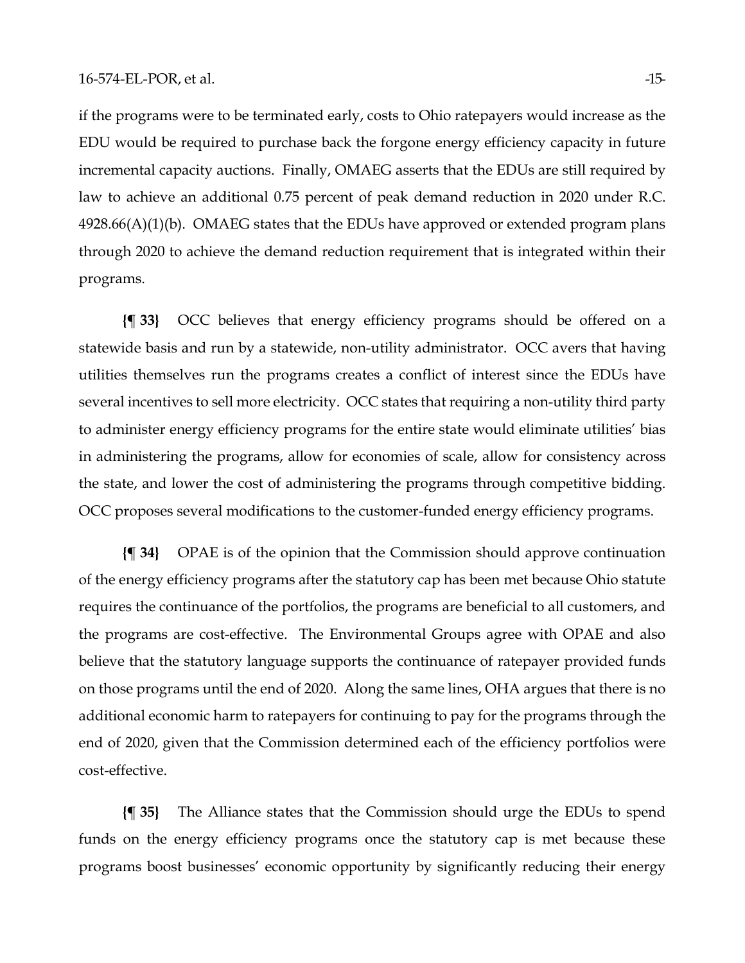if the programs were to be terminated early, costs to Ohio ratepayers would increase as the EDU would be required to purchase back the forgone energy efficiency capacity in future incremental capacity auctions. Finally, OMAEG asserts that the EDUs are still required by law to achieve an additional 0.75 percent of peak demand reduction in 2020 under R.C.  $4928.66(A)(1)(b)$ . OMAEG states that the EDUs have approved or extended program plans through 2020 to achieve the demand reduction requirement that is integrated within their programs.

**{¶ 33}** OCC believes that energy efficiency programs should be offered on a statewide basis and run by a statewide, non-utility administrator. OCC avers that having utilities themselves run the programs creates a conflict of interest since the EDUs have several incentives to sell more electricity. OCC states that requiring a non-utility third party to administer energy efficiency programs for the entire state would eliminate utilities' bias in administering the programs, allow for economies of scale, allow for consistency across the state, and lower the cost of administering the programs through competitive bidding. OCC proposes several modifications to the customer-funded energy efficiency programs.

**{¶ 34}** OPAE is of the opinion that the Commission should approve continuation of the energy efficiency programs after the statutory cap has been met because Ohio statute requires the continuance of the portfolios, the programs are beneficial to all customers, and the programs are cost-effective. The Environmental Groups agree with OPAE and also believe that the statutory language supports the continuance of ratepayer provided funds on those programs until the end of 2020. Along the same lines, OHA argues that there is no additional economic harm to ratepayers for continuing to pay for the programs through the end of 2020, given that the Commission determined each of the efficiency portfolios were cost-effective.

**{¶ 35}** The Alliance states that the Commission should urge the EDUs to spend funds on the energy efficiency programs once the statutory cap is met because these programs boost businesses' economic opportunity by significantly reducing their energy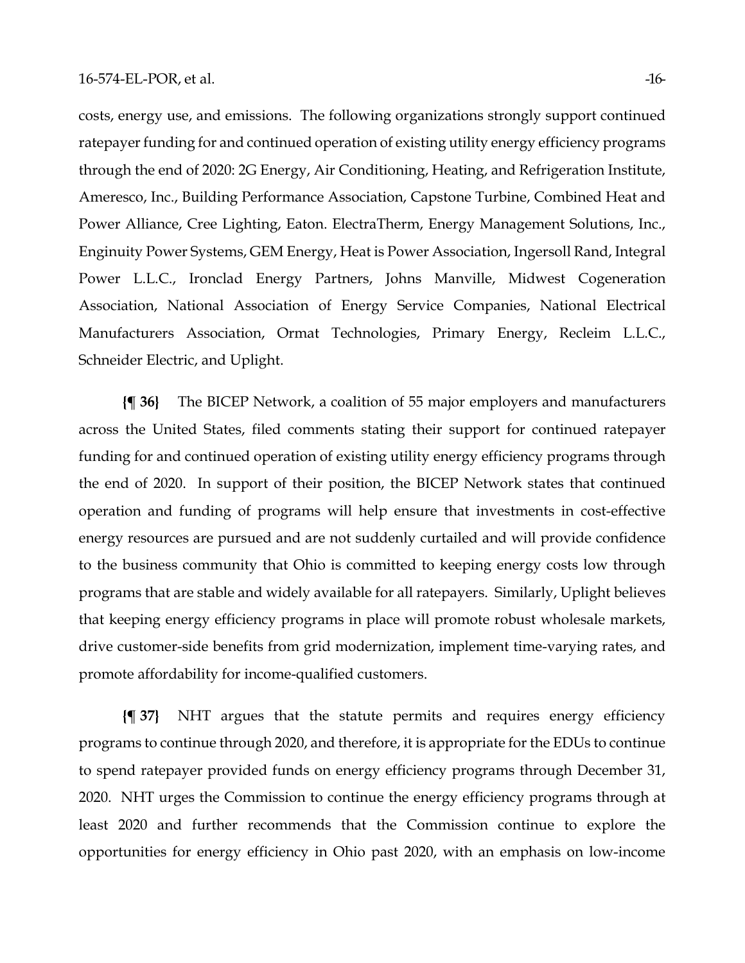costs, energy use, and emissions. The following organizations strongly support continued ratepayer funding for and continued operation of existing utility energy efficiency programs through the end of 2020: 2G Energy, Air Conditioning, Heating, and Refrigeration Institute, Ameresco, Inc., Building Performance Association, Capstone Turbine, Combined Heat and Power Alliance, Cree Lighting, Eaton. ElectraTherm, Energy Management Solutions, Inc., Enginuity Power Systems, GEM Energy, Heat is Power Association, Ingersoll Rand, Integral Power L.L.C., Ironclad Energy Partners, Johns Manville, Midwest Cogeneration Association, National Association of Energy Service Companies, National Electrical Manufacturers Association, Ormat Technologies, Primary Energy, Recleim L.L.C., Schneider Electric, and Uplight.

**{¶ 36}** The BICEP Network, a coalition of 55 major employers and manufacturers across the United States, filed comments stating their support for continued ratepayer funding for and continued operation of existing utility energy efficiency programs through the end of 2020. In support of their position, the BICEP Network states that continued operation and funding of programs will help ensure that investments in cost-effective energy resources are pursued and are not suddenly curtailed and will provide confidence to the business community that Ohio is committed to keeping energy costs low through programs that are stable and widely available for all ratepayers. Similarly, Uplight believes that keeping energy efficiency programs in place will promote robust wholesale markets, drive customer-side benefits from grid modernization, implement time-varying rates, and promote affordability for income-qualified customers.

**{¶ 37}** NHT argues that the statute permits and requires energy efficiency programs to continue through 2020, and therefore, it is appropriate for the EDUs to continue to spend ratepayer provided funds on energy efficiency programs through December 31, 2020. NHT urges the Commission to continue the energy efficiency programs through at least 2020 and further recommends that the Commission continue to explore the opportunities for energy efficiency in Ohio past 2020, with an emphasis on low-income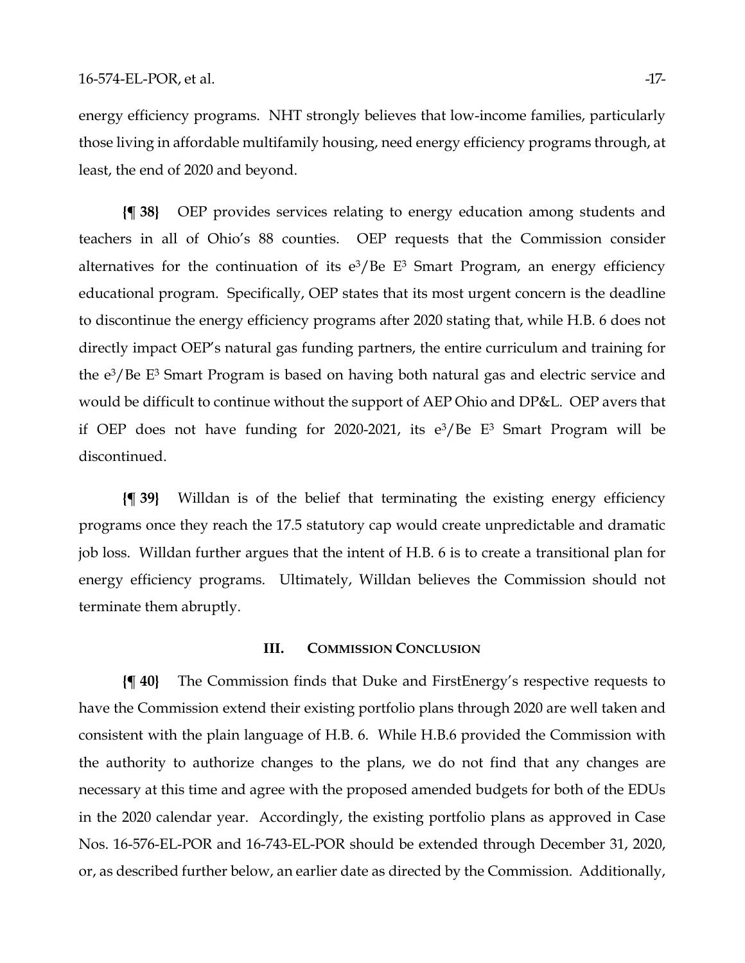energy efficiency programs. NHT strongly believes that low-income families, particularly those living in affordable multifamily housing, need energy efficiency programs through, at least, the end of 2020 and beyond.

**{¶ 38}** OEP provides services relating to energy education among students and teachers in all of Ohio's 88 counties. OEP requests that the Commission consider alternatives for the continuation of its  $e^3$ /Be E<sup>3</sup> Smart Program, an energy efficiency educational program. Specifically, OEP states that its most urgent concern is the deadline to discontinue the energy efficiency programs after 2020 stating that, while H.B. 6 does not directly impact OEP's natural gas funding partners, the entire curriculum and training for the e3/Be E3 Smart Program is based on having both natural gas and electric service and would be difficult to continue without the support of AEP Ohio and DP&L. OEP avers that if OEP does not have funding for 2020-2021, its  $e^3$ /Be E<sup>3</sup> Smart Program will be discontinued.

**{¶ 39}** Willdan is of the belief that terminating the existing energy efficiency programs once they reach the 17.5 statutory cap would create unpredictable and dramatic job loss. Willdan further argues that the intent of H.B. 6 is to create a transitional plan for energy efficiency programs. Ultimately, Willdan believes the Commission should not terminate them abruptly.

#### **III. COMMISSION CONCLUSION**

**{¶ 40}** The Commission finds that Duke and FirstEnergy's respective requests to have the Commission extend their existing portfolio plans through 2020 are well taken and consistent with the plain language of H.B. 6. While H.B.6 provided the Commission with the authority to authorize changes to the plans, we do not find that any changes are necessary at this time and agree with the proposed amended budgets for both of the EDUs in the 2020 calendar year. Accordingly, the existing portfolio plans as approved in Case Nos. 16-576-EL-POR and 16-743-EL-POR should be extended through December 31, 2020, or, as described further below, an earlier date as directed by the Commission. Additionally,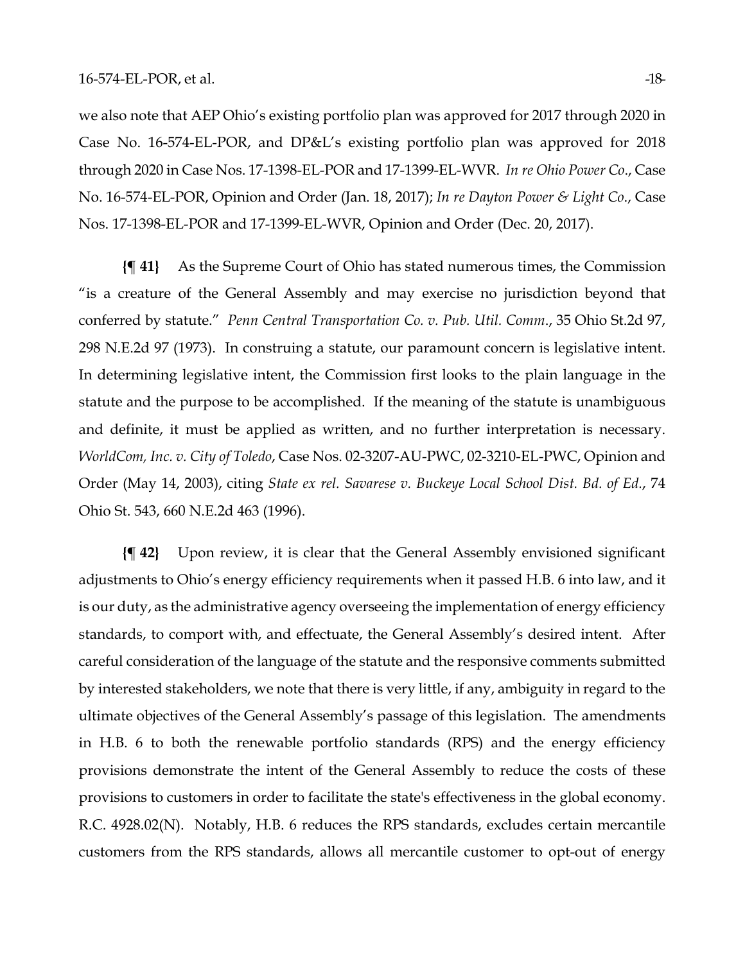we also note that AEP Ohio's existing portfolio plan was approved for 2017 through 2020 in Case No. 16-574-EL-POR, and DP&L's existing portfolio plan was approved for 2018 through 2020 in Case Nos. 17-1398-EL-POR and 17-1399-EL-WVR. *In re Ohio Power Co*., Case No. 16-574-EL-POR, Opinion and Order (Jan. 18, 2017); *In re Dayton Power & Light Co*., Case Nos. 17-1398-EL-POR and 17-1399-EL-WVR, Opinion and Order (Dec. 20, 2017).

**{¶ 41}** As the Supreme Court of Ohio has stated numerous times, the Commission "is a creature of the General Assembly and may exercise no jurisdiction beyond that conferred by statute." *Penn Central Transportation Co. v. Pub. Util. Comm*., 35 Ohio St.2d 97, 298 N.E.2d 97 (1973). In construing a statute, our paramount concern is legislative intent. In determining legislative intent, the Commission first looks to the plain language in the statute and the purpose to be accomplished. If the meaning of the statute is unambiguous and definite, it must be applied as written, and no further interpretation is necessary. *WorldCom, Inc. v. City of Toledo*, Case Nos. 02-3207-AU-PWC, 02-3210-EL-PWC, Opinion and Order (May 14, 2003), citing *State ex rel. Savarese v. Buckeye Local School Dist. Bd. of Ed.*, 74 Ohio St. 543, 660 N.E.2d 463 (1996).

**{¶ 42}** Upon review, it is clear that the General Assembly envisioned significant adjustments to Ohio's energy efficiency requirements when it passed H.B. 6 into law, and it is our duty, as the administrative agency overseeing the implementation of energy efficiency standards, to comport with, and effectuate, the General Assembly's desired intent. After careful consideration of the language of the statute and the responsive comments submitted by interested stakeholders, we note that there is very little, if any, ambiguity in regard to the ultimate objectives of the General Assembly's passage of this legislation. The amendments in H.B. 6 to both the renewable portfolio standards (RPS) and the energy efficiency provisions demonstrate the intent of the General Assembly to reduce the costs of these provisions to customers in order to facilitate the state's effectiveness in the global economy. R.C. 4928.02(N). Notably, H.B. 6 reduces the RPS standards, excludes certain mercantile customers from the RPS standards, allows all mercantile customer to opt-out of energy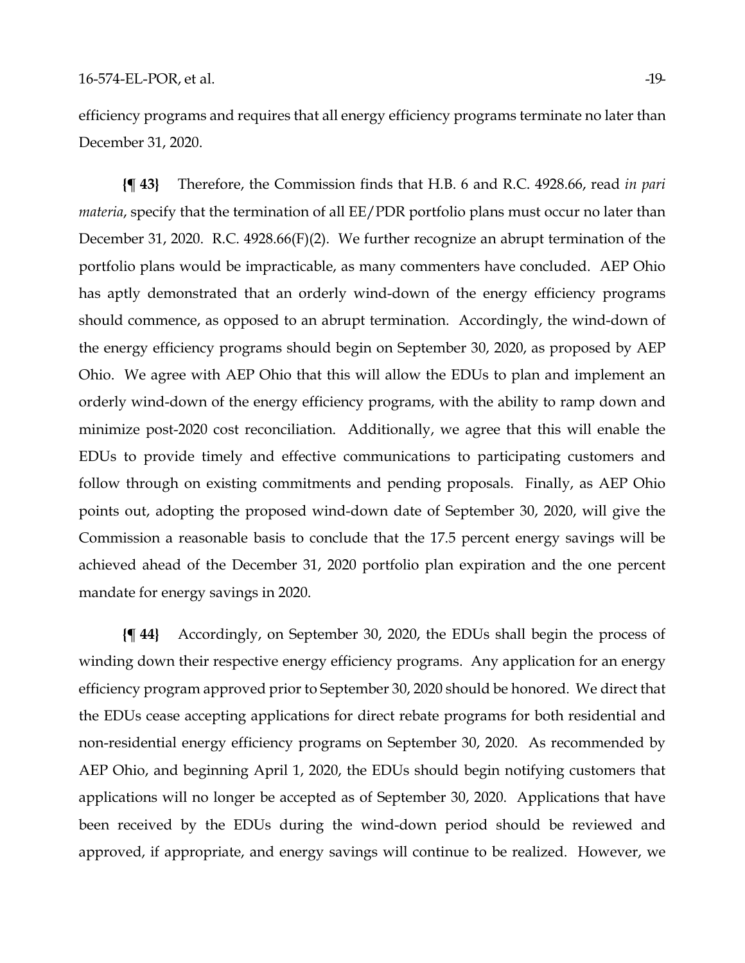efficiency programs and requires that all energy efficiency programs terminate no later than December 31, 2020.

**{¶ 43}** Therefore, the Commission finds that H.B. 6 and R.C. 4928.66, read *in pari materia*, specify that the termination of all EE/PDR portfolio plans must occur no later than December 31, 2020. R.C. 4928.66(F)(2). We further recognize an abrupt termination of the portfolio plans would be impracticable, as many commenters have concluded. AEP Ohio has aptly demonstrated that an orderly wind-down of the energy efficiency programs should commence, as opposed to an abrupt termination. Accordingly, the wind-down of the energy efficiency programs should begin on September 30, 2020, as proposed by AEP Ohio. We agree with AEP Ohio that this will allow the EDUs to plan and implement an orderly wind-down of the energy efficiency programs, with the ability to ramp down and minimize post-2020 cost reconciliation. Additionally, we agree that this will enable the EDUs to provide timely and effective communications to participating customers and follow through on existing commitments and pending proposals. Finally, as AEP Ohio points out, adopting the proposed wind-down date of September 30, 2020, will give the Commission a reasonable basis to conclude that the 17.5 percent energy savings will be achieved ahead of the December 31, 2020 portfolio plan expiration and the one percent mandate for energy savings in 2020.

**{¶ 44}** Accordingly, on September 30, 2020, the EDUs shall begin the process of winding down their respective energy efficiency programs. Any application for an energy efficiency program approved prior to September 30, 2020 should be honored. We direct that the EDUs cease accepting applications for direct rebate programs for both residential and non-residential energy efficiency programs on September 30, 2020. As recommended by AEP Ohio, and beginning April 1, 2020, the EDUs should begin notifying customers that applications will no longer be accepted as of September 30, 2020. Applications that have been received by the EDUs during the wind-down period should be reviewed and approved, if appropriate, and energy savings will continue to be realized. However, we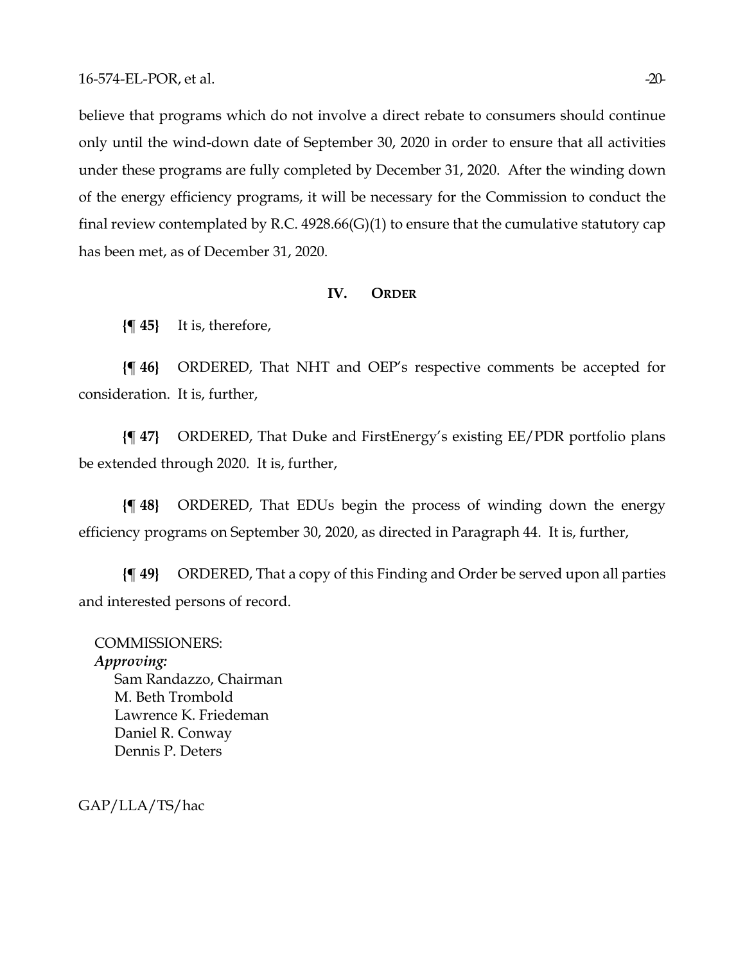believe that programs which do not involve a direct rebate to consumers should continue only until the wind-down date of September 30, 2020 in order to ensure that all activities under these programs are fully completed by December 31, 2020. After the winding down of the energy efficiency programs, it will be necessary for the Commission to conduct the final review contemplated by R.C.  $4928.66(G)(1)$  to ensure that the cumulative statutory cap has been met, as of December 31, 2020.

#### **IV. ORDER**

**{¶ 45}** It is, therefore,

**{¶ 46}** ORDERED, That NHT and OEP's respective comments be accepted for consideration. It is, further,

**{¶ 47}** ORDERED, That Duke and FirstEnergy's existing EE/PDR portfolio plans be extended through 2020. It is, further,

**{¶ 48}** ORDERED, That EDUs begin the process of winding down the energy efficiency programs on September 30, 2020, as directed in Paragraph 44. It is, further,

**{¶ 49}** ORDERED, That a copy of this Finding and Order be served upon all parties and interested persons of record.

COMMISSIONERS: *Approving:*  Sam Randazzo, Chairman M. Beth Trombold Lawrence K. Friedeman Daniel R. Conway Dennis P. Deters

GAP/LLA/TS/hac